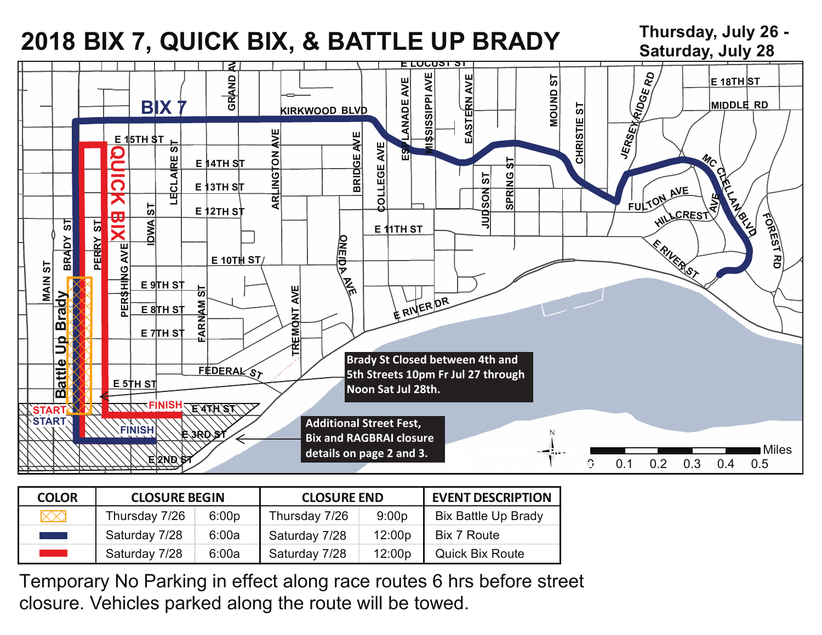# **2018 BIX 7, QUICK BIX, & BATTLE UP BRADY Thursday, July 26 -**

**Saturday, July 28**



| <b>COLOR</b>                 | <b>CLOSURE BEGIN</b> |       | <b>CLOSURE END</b> |        | <b>EVENT DESCRIPTION</b>   |
|------------------------------|----------------------|-------|--------------------|--------|----------------------------|
| $\times\!\!\times\!\!\times$ | Thursday 7/26        | 6:00p | Thursday 7/26      | 9:00p  | <b>Bix Battle Up Brady</b> |
| and the state                | Saturday 7/28        | 6:00a | Saturday 7/28      | 12:00p | Bix 7 Route                |
| <b>Service Service</b>       | Saturday 7/28        | 6:00a | Saturday 7/28      | 12:00p | <b>Quick Bix Route</b>     |

Temporary No Parking in effect along race routes 6 hrs before street closure. Vehicles parked along the route will be towed.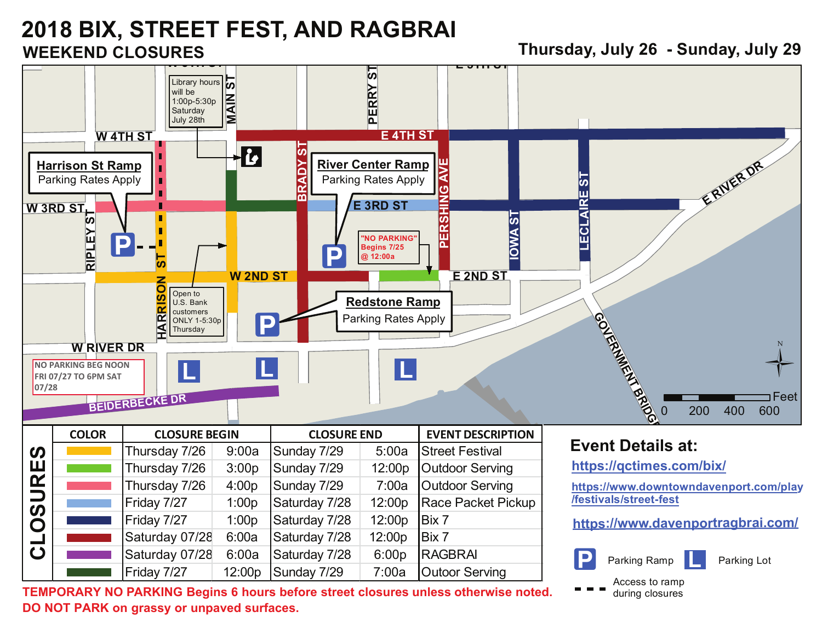## **2018 BIX, STREET FEST, AND RAGBRAI WEEKEND CLOSURES**

**Thursday, July 26 - Sunday, July 29**

Parking Ramp **Parking Lot** 

**L**

Access to ramp during closures



Friday  $7/27$  | 12:00p Sunday  $7/29$  | 7:00a | Outoor Serving **TEMPORARY NO PARKING Begins 6 hours before street closures unless otherwise noted. DO NOT PARK on grassy or unpaved surfaces.** 

Saturday  $07/28$  6:00a Saturday  $7/28$  6:00p RAGBRAI